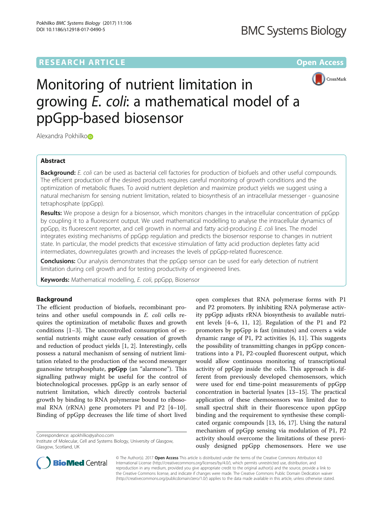## **RESEARCH ARTICLE Example 2014 12:30 The Contract of Contract ACCESS**



# Monitoring of nutrient limitation in growing E. coli: a mathematical model of a ppGpp-based biosensor

Alexandra P[o](http://orcid.org/0000-0001-6565-6551)khilko

## Abstract

Background: E. coli can be used as bacterial cell factories for production of biofuels and other useful compounds. The efficient production of the desired products requires careful monitoring of growth conditions and the optimization of metabolic fluxes. To avoid nutrient depletion and maximize product yields we suggest using a natural mechanism for sensing nutrient limitation, related to biosynthesis of an intracellular messenger - guanosine tetraphosphate (ppGpp).

Results: We propose a design for a biosensor, which monitors changes in the intracellular concentration of ppGpp by coupling it to a fluorescent output. We used mathematical modelling to analyse the intracellular dynamics of ppGpp, its fluorescent reporter, and cell growth in normal and fatty acid-producing E. coli lines. The model integrates existing mechanisms of ppGpp regulation and predicts the biosensor response to changes in nutrient state. In particular, the model predicts that excessive stimulation of fatty acid production depletes fatty acid intermediates, downregulates growth and increases the levels of ppGpp-related fluorescence.

**Conclusions:** Our analysis demonstrates that the ppGpp sensor can be used for early detection of nutrient limitation during cell growth and for testing productivity of engineered lines.

Keywords: Mathematical modelling, E. coli, ppGpp, Biosensor

## Background

The efficient production of biofuels, recombinant proteins and other useful compounds in E. coli cells requires the optimization of metabolic fluxes and growth conditions [[1](#page-9-0)–[3\]](#page-9-0). The uncontrolled consumption of essential nutrients might cause early cessation of growth and reduction of product yields [[1, 2](#page-9-0)]. Interestingly, cells possess a natural mechanism of sensing of nutrient limitation related to the production of the second messenger guanosine tetraphosphate, ppGpp (an "alarmone"). This signalling pathway might be useful for the control of biotechnological processes. ppGpp is an early sensor of nutrient limitation, which directly controls bacterial growth by binding to RNA polymerase bound to ribosomal RNA (rRNA) gene promoters P1 and P2 [[4](#page-9-0)–[10](#page-9-0)]. Binding of ppGpp decreases the life time of short lived

Correspondence: [apokhilko@yahoo.com](mailto:apokhilko@yahoo.com)

open complexes that RNA polymerase forms with P1 and P2 promoters. By inhibiting RNA polymerase activity ppGpp adjusts rRNA biosynthesis to available nutrient levels [\[4](#page-9-0)–[6, 11, 12\]](#page-9-0). Regulation of the P1 and P2 promoters by ppGpp is fast (minutes) and covers a wide dynamic range of P1, P2 activities [[6](#page-9-0), [11](#page-9-0)]. This suggests the possibility of transmitting changes in ppGpp concentrations into a P1, P2-coupled fluorescent output, which would allow continuous monitoring of transcriptional activity of ppGpp inside the cells. This approach is different from previously developed chemosensors, which were used for end time-point measurements of ppGpp concentration in bacterial lysates [\[13](#page-9-0)–[15\]](#page-9-0). The practical application of these chemosensors was limited due to small spectral shift in their fluorescence upon ppGpp binding and the requirement to synthesise these complicated organic compounds [\[13](#page-9-0), [16, 17\]](#page-9-0). Using the natural mechanism of ppGpp sensing via modulation of P1, P2 activity should overcome the limitations of these previously designed ppGpp chemosensors. Here we use



© The Author(s). 2017 **Open Access** This article is distributed under the terms of the Creative Commons Attribution 4.0 International License [\(http://creativecommons.org/licenses/by/4.0/](http://creativecommons.org/licenses/by/4.0/)), which permits unrestricted use, distribution, and reproduction in any medium, provided you give appropriate credit to the original author(s) and the source, provide a link to the Creative Commons license, and indicate if changes were made. The Creative Commons Public Domain Dedication waiver [\(http://creativecommons.org/publicdomain/zero/1.0/](http://creativecommons.org/publicdomain/zero/1.0/)) applies to the data made available in this article, unless otherwise stated.

Institute of Molecular, Cell and Systems Biology, University of Glasgow, Glasgow, Scotland, UK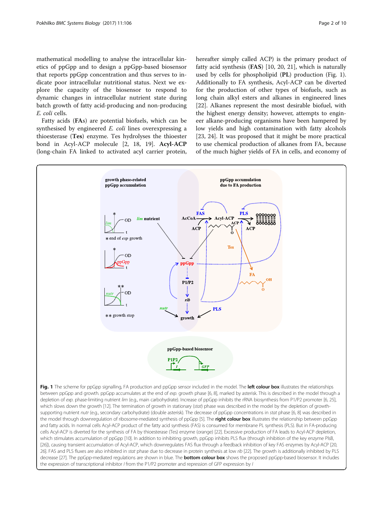<span id="page-1-0"></span>mathematical modelling to analyse the intracellular kinetics of ppGpp and to design a ppGpp-based biosensor that reports ppGpp concentration and thus serves to indicate poor intracellular nutritional status. Next we explore the capacity of the biosensor to respond to dynamic changes in intracellular nutrient state during batch growth of fatty acid-producing and non-producing E. coli cells.

Fatty acids (FAs) are potential biofuels, which can be synthesised by engineered E. coli lines overexpressing a thioesterase (Tes) enzyme. Tes hydrolyses the thioester bond in Acyl-ACP molecule [\[2](#page-9-0), [18, 19\]](#page-9-0). Acyl-ACP (long-chain FA linked to activated acyl carrier protein, hereafter simply called ACP) is the primary product of fatty acid synthesis (FAS) [\[10](#page-9-0), [20](#page-9-0), [21\]](#page-9-0), which is naturally used by cells for phospholipid (PL) production (Fig. 1). Additionally to FA synthesis, Acyl-ACP can be diverted for the production of other types of biofuels, such as long chain alkyl esters and alkanes in engineered lines [[22\]](#page-9-0). Alkanes represent the most desirable biofuel, with the highest energy density; however, attempts to engineer alkane-producing organisms have been hampered by low yields and high contamination with fatty alcohols [[23, 24\]](#page-9-0). It was proposed that it might be more practical to use chemical production of alkanes from FA, because of the much higher yields of FA in cells, and economy of



Fig. 1 The scheme for ppGpp signalling, FA production and ppGpp sensor included in the model. The left colour box illustrates the relationships between ppGpp and growth. ppGpp accumulates at the end of exp. growth phase [\[6, 8](#page-9-0)], marked by asterisk. This is described in the model through a depletion of exp. phase-limiting nutrient lim (e.g., main carbohydrate). Increase of ppGpp inhibits the rRNA biosynthesis from P1/P2 promoter [\[6](#page-9-0), [25\]](#page-9-0), which slows down the growth [\[12](#page-9-0)]. The termination of growth in stationary (stat) phase was described in the model by the depletion of growth-supporting nutrient nutr (e.g., secondary carbohydrate) (double asterisk). The decrease of ppGpp concentrations in stat phase [\[6](#page-9-0), [8](#page-9-0)] was described in the model through downregulation of ribosome-mediated synthesis of ppGpp [\[5](#page-9-0)]. The right colour box illustrates the relationship between ppGpp and fatty acids. In normal cells Acyl-ACP product of the fatty acid synthesis (FAS) is consumed for membrane PL synthesis (PLS). But in FA-producing cells Acyl-ACP is diverted for the synthesis of FA by thioesterase (Tes) enzyme (orange) [[22](#page-9-0)]. Excessive production of FA leads to Acyl-ACP depletion, which stimulates accumulation of ppGpp [\[10\]](#page-9-0). In addition to inhibiting growth, ppGpp inhibits PLS flux (through inhibition of the key enzyme PlsB, [[26](#page-9-0)]), causing transient accumulation of Acyl-ACP, which downregulates FAS flux through a feedback inhibition of key FAS enzymes by Acyl-ACP [[20](#page-9-0), [26](#page-9-0)]. FAS and PLS fluxes are also inhibited in stat phase due to decrease in protein synthesis at low rib [\[22\]](#page-9-0). The growth is additionally inhibited by PLS decrease [\[27\]](#page-9-0). The ppGpp-mediated regulations are shown in blue. The **bottom colour box** shows the proposed ppGpp-based biosensor. It includes the expression of transcriptional inhibitor I from the P1/P2 promoter and repression of GFP expression by I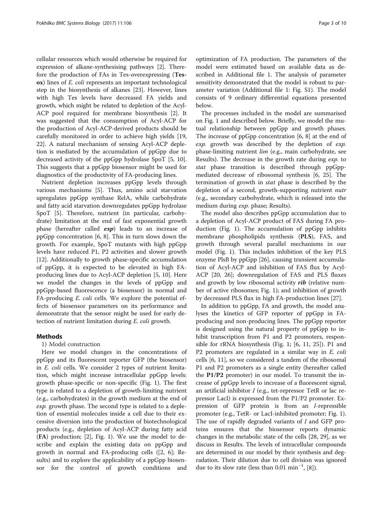cellular resources which would otherwise be required for expression of alkane-synthesising pathways [[2](#page-9-0)]. Therefore the production of FAs in Tes-overexpressing (Tesox) lines of E. coli represents an important technological step in the biosynthesis of alkanes [\[23\]](#page-9-0). However, lines with high Tes levels have decreased FA yields and growth, which might be related to depletion of the Acyl-ACP pool required for membrane biosynthesis [\[2](#page-9-0)]. It was suggested that the consumption of Acyl-ACP for the production of Acyl-ACP-derived products should be carefully monitored in order to achieve high yields [[19](#page-9-0), [22\]](#page-9-0). A natural mechanism of sensing Acyl-ACP depletion is mediated by the accumulation of ppGpp due to decreased activity of the ppGpp hydrolase SpoT [[5, 10](#page-9-0)]. This suggests that a ppGpp biosensor might be used for diagnostics of the productivity of FA-producing lines.

Nutrient depletion increases ppGpp levels through various mechanisms [\[5](#page-9-0)]. Thus, amino acid starvation upregulates ppGpp synthase RelA, while carbohydrate and fatty acid starvation downregulates ppGpp hydrolase SpoT [[5\]](#page-9-0). Therefore, nutrient (in particular, carbohydrate) limitation at the end of fast exponential growth phase (hereafter called  $exp$ ) leads to an increase of ppGpp concentration [[6, 8\]](#page-9-0). This in turn slows down the growth. For example, SpoT mutants with high ppGpp levels have reduced P1, P2 activities and slower growth [[12\]](#page-9-0). Additionally to growth phase-specific accumulation of ppGpp, it is expected to be elevated in high FAproducing lines due to Acyl-ACP depletion [[5, 10\]](#page-9-0). Here we model the changes in the levels of ppGpp and ppGpp-based fluorescence (a biosensor) in normal and FA-producing E. coli cells. We explore the potential effects of biosensor parameters on its performance and demonstrate that the sensor might be used for early detection of nutrient limitation during E. coli growth.

## Methods

1) Model construction

Here we model changes in the concentrations of ppGpp and its fluorescent reporter GFP (the biosensor) in E. coli cells. We consider 2 types of nutrient limitation, which might increase intracellular ppGpp levels: growth phase-specific or non-specific (Fig. [1\)](#page-1-0). The first type is related to a depletion of growth-limiting nutrient (e.g., carbohydrates) in the growth medium at the end of exp. growth phase. The second type is related to a depletion of essential molecules inside a cell due to their excessive diversion into the production of biotechnological products (e.g., depletion of Acyl-ACP during fatty acid (FA) production; [\[2](#page-9-0)], Fig. [1](#page-1-0)). We use the model to describe and explain the existing data on ppGpp and growth in normal and FA-producing cells ([\[2](#page-9-0), [6](#page-9-0)]; Results) and to explore the applicability of a ppGpp biosensor for the control of growth conditions and

optimization of FA production. The parameters of the model were estimated based on available data as described in Additional file [1.](#page-8-0) The analysis of parameter sensitivity demonstrated that the model is robust to parameter variation (Additional file [1:](#page-8-0) Fig. S1). The model consists of 9 ordinary differential equations presented below.

The processes included in the model are summarised on Fig. [1](#page-1-0) and described below. Briefly, we model the mutual relationship between ppGpp and growth phases. The increase of ppGpp concentration [[6, 8\]](#page-9-0) at the end of exp. growth was described by the depletion of exp. phase-limiting nutrient lim (e.g., main carbohydrate, see Results). The decrease in the growth rate during exp. to stat phase transition is described through ppGppmediated decrease of ribosomal synthesis [\[6](#page-9-0), [25](#page-9-0)]. The termination of growth in stat phase is described by the depletion of a second, growth-supporting nutrient nutr (e.g., secondary carbohydrate, which is released into the medium during exp. phase; Results).

The model also describes ppGpp accumulation due to a depletion of Acyl-ACP product of FAS during FA production (Fig. [1\)](#page-1-0). The accumulation of ppGpp inhibits membrane phospholipids synthesis (PLS), FAS, and growth through several parallel mechanisms in our model (Fig. [1](#page-1-0)). This includes inhibition of the key PLS enzyme PlsB by ppGpp [[26\]](#page-9-0), causing transient accumulation of Acyl-ACP and inhibition of FAS flux by Acyl-ACP [\[20, 26\]](#page-9-0); downregulation of FAS and PLS fluxes and growth by low ribosomal activity  $rib$  (relative number of active ribosomes; Fig. [1\)](#page-1-0); and inhibition of growth by decreased PLS flux in high FA-production lines [[27\]](#page-9-0).

In addition to ppGpp, FA and growth, the model analyses the kinetics of GFP reporter of ppGpp in FAproducing and non-producing lines. The ppGpp reporter is designed using the natural property of ppGpp to inhibit transcription from P1 and P2 promoters, responsible for rRNA biosynthesis (Fig. [1;](#page-1-0) [[6, 11, 25\]](#page-9-0)). P1 and P2 promoters are regulated in a similar way in E. coli cells [[6](#page-9-0), [11](#page-9-0)], so we considered a tandem of the ribosomal P1 and P2 promoters as a single entity (hereafter called the P1/P2 promoter) in our model. To transmit the increase of ppGpp levels to increase of a fluorescent signal, an artificial inhibitor I (e.g., tet-repressor TetR or lac repressor LacI) is expressed from the P1/P2 promoter. Expression of GFP protein is from an I-repressible promoter (e.g., TetR- or LacI-inhibited promoter; Fig. [1](#page-1-0)). The use of rapidly degraded variants of I and GFP proteins ensures that the biosensor reports dynamic changes in the metabolic state of the cells [[28, 29\]](#page-9-0), as we discuss in Results. The levels of intracellular compounds are determined in our model by their synthesis and degradation. Their dilution due to cell division was ignored due to its slow rate (less than  $0.01 \text{ min}^{-1}$ , [\[8](#page-9-0)]).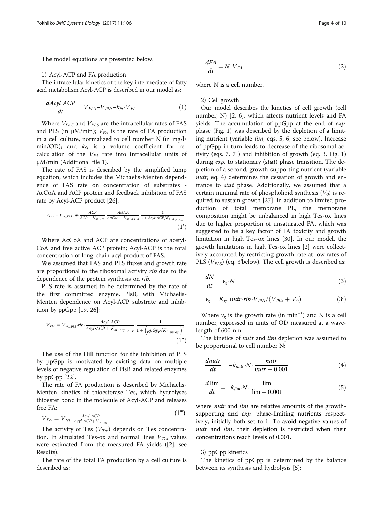The model equations are presented below.

## 1) Acyl-ACP and FA production

The intracellular kinetics of the key intermediate of fatty acid metabolism Acyl-ACP is described in our model as:

$$
\frac{dA\mathit{cyl}\text{-}ACP}{dt} = V_{FAS} - V_{PLS} - k_{fa} \cdot V_{FA} \tag{1}
$$

Where  $V_{FAS}$  and  $V_{PLS}$  are the intracellular rates of FAS and PLS (in  $\mu$ M/min);  $V_{FA}$  is the rate of FA production in a cell culture, normalized to cell number N (in mg/l/ min/OD); and  $k_{fa}$  is a volume coefficient for recalculation of the  $V_{FA}$  rate into intracellular units of μM/min (Additional file [1](#page-8-0)).

The rate of FAS is described by the simplified lump equation, which includes the Michaelis-Menten dependence of FAS rate on concentration of substrates - AcCoA and ACP protein and feedback inhibition of FAS rate by Acyl-ACP product [[26](#page-9-0)]:

$$
V_{FAS} = V_{m\_FAS} \cdot rib \cdot \frac{ACP}{ACP + K_{m\_ACP}} \cdot \frac{AccoA}{AccoA + K_{m\_AccoA}} \cdot \frac{1}{1 + Acyl \cdot ACP/K_{i\_Acpl\_ACP}} \cdot \frac{1}{(1')}
$$

Where AcCoA and ACP are concentrations of acetyl-CoA and free active ACP protein; Acyl-ACP is the total concentration of long-chain acyl product of FAS.

We assumed that FAS and PLS fluxes and growth rate are proportional to the ribosomal activity rib due to the dependence of the protein synthesis on rib.

PLS rate is assumed to be determined by the rate of the first committed enzyme, PlsB, with Michaelis-Menten dependence on Acyl-ACP substrate and inhibition by ppGpp [\[19, 26\]](#page-9-0):

$$
V_{PLS} = V_{m\_PLS} \cdot rib \cdot \frac{Acyl \cdot ACP}{Acyl \cdot ACP + K_{m\_Acyl \cdot ACP} \cdot 1 + \left(ppGpp/K_{i\_ppGpp}\right)^n} \tag{1''}
$$

The use of the Hill function for the inhibition of PLS by ppGpp is motivated by existing data on multiple levels of negative regulation of PlsB and related enzymes by ppGpp [\[22](#page-9-0)].

The rate of FA production is described by Michaelis-Menten kinetics of thioesterase Tes, which hydrolyses thioester bond in the molecule of Acyl-ACP and releases free FA:  $(1)$   $\mu$ )

$$
V_{FA} = V_{tes} \cdot \frac{Acyt \cdot ACP}{Acyt \cdot ACP + K_{m_{\text{res}}}}
$$
 (1")

The activity of Tes  $(V_{Tes})$  depends on Tes concentration. In simulated Tes-ox and normal lines  $V_{Tes}$  values were estimated from the measured FA yields ([[2\]](#page-9-0); see Results).

The rate of the total FA production by a cell culture is described as:

$$
\frac{dFA}{dt} = N \cdot V_{FA} \tag{2}
$$

where N is a cell number.

2) Cell growth

Our model describes the kinetics of cell growth (cell number, N) [\[2](#page-9-0), [6](#page-9-0)], which affects nutrient levels and FA yields. The accumulation of ppGpp at the end of exp. phase (Fig. [1\)](#page-1-0) was described by the depletion of a limiting nutrient (variable lim, eqs. 5, 6, see below). Increase of ppGpp in turn leads to decrease of the ribosomal activity (eqs. [7,](#page-4-0) 7′) and inhibition of growth (eq. 3, Fig. [1](#page-1-0)) during  $exp.$  to stationary (stat) phase transition. The depletion of a second, growth-supporting nutrient (variable nutr; eq. 4) determines the cessation of growth and entrance to stat phase. Additionally, we assumed that a certain minimal rate of phospholipid synthesis  $(V_0)$  is required to sustain growth [[27\]](#page-9-0). In addition to limited production of total membrane PL, the membrane composition might be unbalanced in high Tes-ox lines due to higher proportion of unsaturated FA, which was suggested to be a key factor of FA toxicity and growth limitation in high Tes-ox lines [\[30](#page-9-0)]. In our model, the growth limitations in high Tes-ox lines [[2\]](#page-9-0) were collectively accounted by restricting growth rate at low rates of PLS ( $V_{PLS}$ ) (eq. 3'below). The cell growth is described as:

$$
\frac{dN}{dt} = v_g \cdot N \tag{3}
$$

$$
v_g = K_{gr} \cdot nutr \cdot rib \cdot V_{PLS}/(V_{PLS} + V_0)
$$
 (3')

Where  $v_g$  is the growth rate (in min<sup>-1</sup>) and N is a cell number, expressed in units of OD measured at a wavelength of 600 nm.

The kinetics of *nutr* and *lim* depletion was assumed to be proportional to cell number N:

$$
\frac{dnutr}{dt} = -k_{nutr} \cdot N \cdot \frac{nutr}{nutr + 0.001} \tag{4}
$$

$$
\frac{d \lim}{dt} = -k_{lim} \cdot N \cdot \frac{\lim}{\lim + 0.001} \tag{5}
$$

where nutr and lim are relative amounts of the growthsupporting and *exp*. phase-limiting nutrients respectively, initially both set to 1. To avoid negative values of nutr and *lim*, their depletion is restricted when their concentrations reach levels of 0.001.

## 3) ppGpp kinetics

The kinetics of ppGpp is determined by the balance between its synthesis and hydrolysis [\[5](#page-9-0)]: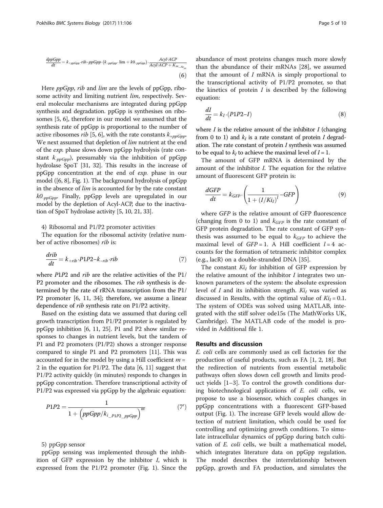<span id="page-4-0"></span>Here *ppGpp*, *rib* and *lim* are the levels of ppGpp, ribosome activity and limiting nutrient *lim*, respectively. Several molecular mechanisms are integrated during ppGpp synthesis and degradation. ppGpp is synthesises on ribosomes [[5, 6\]](#page-9-0), therefore in our model we assumed that the synthesis rate of ppGpp is proportional to the number of active ribosomes *rib* [\[5, 6](#page-9-0)], with the rate constants  $k_{+ppGpp}$ . We next assumed that depletion of *lim* nutrient at the end of the exp. phase slows down ppGpp hydrolysis (rate constant  $k_{ppGpp}$ ), presumably via the inhibition of ppGpp hydrolase SpoT [\[31](#page-9-0), [32](#page-9-0)]. This results in the increase of ppGpp concentration at the end of exp. phase in our model ([\[6](#page-9-0), [8\]](#page-9-0), Fig. [1](#page-1-0)). The background hydrolysis of ppGpp in the absence of *lim* is accounted for by the rate constant  $k_0$ <sub>-ppGpp</sub>. Finally, ppGpp levels are upregulated in our model by the depletion of Acyl-ACP, due to the inactivation of SpoT hydrolase activity [[5, 10, 21](#page-9-0), [33\]](#page-9-0).

## 4) Ribosomal and P1/P2 promoter activities

The equation for the ribosomal activity (relative number of active ribosomes) rib is:

$$
\frac{drib}{dt} = k_{+rib} \cdot P1P2 - k_{-rib} \cdot rib \tag{7}
$$

where P1P2 and rib are the relative activities of the P1/ P2 promoter and the ribosomes. The *rib* synthesis is determined by the rate of rRNA transcription from the P1/ P2 promoter [[6,](#page-9-0) [11,](#page-9-0) [34](#page-9-0)]; therefore, we assume a linear dependence of rib synthesis rate on P1/P2 activity.

Based on the existing data we assumed that during cell growth transcription from P1/P2 promoter is regulated by ppGpp inhibition [[6](#page-9-0), [11, 25](#page-9-0)]. P1 and P2 show similar responses to changes in nutrient levels, but the tandem of P1 and P2 promoters (P1/P2) shows a stronger response compared to single P1 and P2 promoters [\[11\]](#page-9-0). This was accounted for in the model by using a Hill coefficient  $m =$ 2 in the equation for P1/P2. The data [\[6, 11\]](#page-9-0) suggest that P1/P2 activity quickly (in minutes) responds to changes in ppGpp concentration. Therefore transcriptional activity of P1/P2 was expressed via ppGpp by the algebraic equation:

$$
P1P2 = \frac{1}{1 + \left( ppGpp / k_{i\_P1P2\_ppGpp} \right)^m}
$$
 (7')

5) ppGpp sensor

ppGpp sensing was implemented through the inhibition of GFP expression by the inhibitor I, which is expressed from the P1/P2 promoter (Fig. [1\)](#page-1-0). Since the abundance of most proteins changes much more slowly

than the abundance of their mRNAs [\[28](#page-9-0)], we assumed that the amount of  $I$  mRNA is simply proportional to the transcriptional activity of P1/P2 promoter, so that the kinetics of protein  $I$  is described by the following equation:

$$
\frac{dI}{dt} = k_I \cdot (P1P2 - I) \tag{8}
$$

where  $I$  is the relative amount of the inhibitor  $I$  (changing from 0 to 1) and  $k_I$  is a rate constant of protein I degradation. The rate constant of protein I synthesis was assumed to be equal to  $k<sub>I</sub>$  to achieve the maximal level of  $I = 1$ .

The amount of GFP mRNA is determined by the amount of the inhibitor I. The equation for the relative amount of fluorescent GFP protein is:

$$
\frac{dGFP}{dt} = k_{GFP} \cdot \left(\frac{1}{1 + (I/Ki_I)^l} - GFP\right) \tag{9}
$$

where GFP is the relative amount of GFP fluorescence (changing from 0 to 1) and  $k_{GFP}$  is the rate constant of GFP protein degradation. The rate constant of GFP synthesis was assumed to be equal to  $k_{GFP}$  to achieve the maximal level of  $GFP = 1$ . A Hill coefficient  $l = 4$  accounts for the formation of tetrameric inhibitor complex (e.g., lacR) on a double-stranded DNA [[35\]](#page-9-0).

The constant  $Ki<sub>I</sub>$  for inhibition of GFP expression by the relative amount of the inhibitor  $I$  integrates two unknown parameters of the system: the absolute expression level of  $I$  and its inhibition strength.  $Ki_I$  was varied as discussed in Results, with the optimal value of  $Ki_I = 0.1$ . The system of ODEs was solved using MATLAB, integrated with the stiff solver ode15s (The MathWorks UK, Cambridge). The MATLAB code of the model is provided in Additional file [1.](#page-8-0)

## Results and discussion

E. coli cells are commonly used as cell factories for the production of useful products, such as FA [\[1](#page-9-0), [2](#page-9-0), [18\]](#page-9-0). But the redirection of nutrients from essential metabolic pathways often slows down cell growth and limits product yields [\[1](#page-9-0)–[3](#page-9-0)]. To control the growth conditions during biotechnological applications of E. coli cells, we propose to use a biosensor, which couples changes in ppGpp concentrations with a fluorescent GFP-based output (Fig. [1](#page-1-0)). The increase GFP levels would allow detection of nutrient limitation, which could be used for controlling and optimizing growth conditions. To simulate intracellular dynamics of ppGpp during batch cultivation of *E. coli* cells, we built a mathematical model, which integrates literature data on ppGpp regulation. The model describes the interrelationship between ppGpp, growth and FA production, and simulates the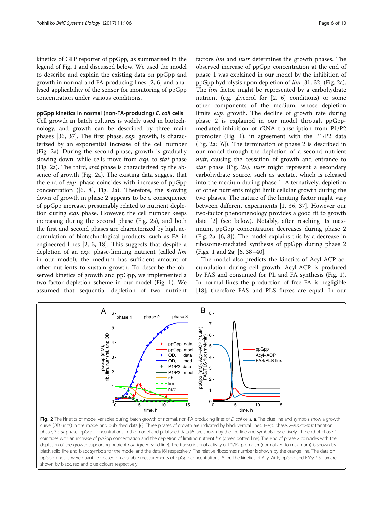<span id="page-5-0"></span>kinetics of GFP reporter of ppGpp, as summarised in the legend of Fig. [1](#page-1-0) and discussed below. We used the model to describe and explain the existing data on ppGpp and growth in normal and FA-producing lines [[2, 6\]](#page-9-0) and analysed applicability of the sensor for monitoring of ppGpp concentration under various conditions.

## ppGpp kinetics in normal (non-FA-producing) E. coli cells

Cell growth in batch cultures is widely used in biotechnology, and growth can be described by three main phases [[36, 37\]](#page-9-0). The first phase, exp. growth, is characterized by an exponential increase of the cell number (Fig. 2a). During the second phase, growth is gradually slowing down, while cells move from exp. to stat phase (Fig. 2a). The third, stat phase is characterized by the absence of growth (Fig. 2a). The existing data suggest that the end of exp. phase coincides with increase of ppGpp concentration ([\[6, 8\]](#page-9-0), Fig. 2a). Therefore, the slowing down of growth in phase 2 appears to be a consequence of ppGpp increase, presumably related to nutrient depletion during exp. phase. However, the cell number keeps increasing during the second phase (Fig. 2a), and both the first and second phases are characterized by high accumulation of biotechnological products, such as FA in engineered lines [\[2](#page-9-0), [3, 18\]](#page-9-0). This suggests that despite a depletion of an exp. phase-limiting nutrient (called *lim* in our model), the medium has sufficient amount of other nutrients to sustain growth. To describe the observed kinetics of growth and ppGpp, we implemented a two-factor depletion scheme in our model (Fig. [1\)](#page-1-0). We assumed that sequential depletion of two nutrient

factors lim and nutr determines the growth phases. The observed increase of ppGpp concentration at the end of phase 1 was explained in our model by the inhibition of ppGpp hydrolysis upon depletion of lim [\[31](#page-9-0), [32\]](#page-9-0) (Fig. 2a). The *lim* factor might be represented by a carbohydrate nutrient (e.g. glycerol for [\[2](#page-9-0), [6\]](#page-9-0) conditions) or some other components of the medium, whose depletion limits exp. growth. The decline of growth rate during phase 2 is explained in our model through ppGppmediated inhibition of rRNA transcription from P1/P2 promoter (Fig. [1\)](#page-1-0), in agreement with the P1/P2 data (Fig. 2a; [[6\]](#page-9-0)). The termination of phase 2 is described in our model through the depletion of a second nutrient nutr, causing the cessation of growth and entrance to stat phase (Fig. 2a). nutr might represent a secondary carbohydrate source, such as acetate, which is released into the medium during phase 1. Alternatively, depletion of other nutrients might limit cellular growth during the two phases. The nature of the limiting factor might vary between different experiments [\[1, 36, 37\]](#page-9-0). However our two-factor phenomenology provides a good fit to growth data [\[2](#page-9-0)] (see below). Notably, after reaching its maximum, ppGpp concentration decreases during phase 2 (Fig. 2a; [\[6](#page-9-0), [8](#page-9-0)]). The model explains this by a decrease in ribosome-mediated synthesis of ppGpp during phase 2 (Figs. [1](#page-1-0) and 2a; [[6](#page-9-0), [38](#page-9-0)–[40](#page-9-0)].

The model also predicts the kinetics of Acyl-ACP accumulation during cell growth. Acyl-ACP is produced by FAS and consumed for PL and FA synthesis (Fig. [1](#page-1-0)). In normal lines the production of free FA is negligible [[18\]](#page-9-0); therefore FAS and PLS fluxes are equal. In our



Fig. 2 The kinetics of model variables during batch growth of normal, non-FA producing lines of E. coli cells. a. The blue line and symbols show a growth curve (OD units) in the model and published data [\[6\]](#page-9-0). Three phases of growth are indicated by black vertical lines: 1-exp. phase, 2-exp.-to-stat transition phase, 3-stat phase. ppGpp concentrations in the model and published data [\[6\]](#page-9-0) are shown by the red line and symbols respectively. The end of phase 1 coincides with an increase of ppGpp concentration and the depletion of limiting nutrient lim (green dotted line). The end of phase 2 coincides with the depletion of the growth-supporting nutrient nutr (green solid line). The transcriptional activity of P1/P2 promoter (normalized to maximum) is shown by black solid line and black symbols for the model and the data [\[6\]](#page-9-0) respectively. The relative ribosomes number is shown by the orange line. The data on ppGpp kinetics were quantified based on available measurements of ppGpp concentrations [\[8\]](#page-9-0). **b.** The kinetics of Acyl-ACP, ppGpp and FAS/PLS flux are shown by black, red and blue colours respectively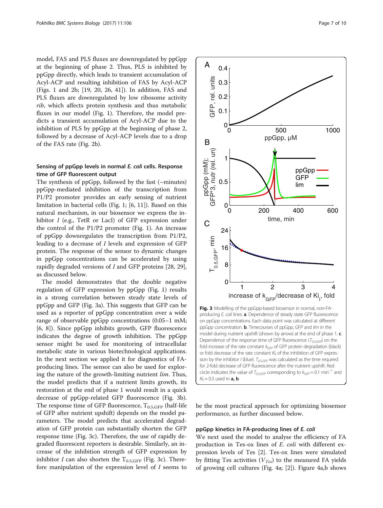<span id="page-6-0"></span>model, FAS and PLS fluxes are downregulated by ppGpp at the beginning of phase 2. Thus, PLS is inhibited by ppGpp directly, which leads to transient accumulation of Acyl-ACP and resulting inhibition of FAS by Acyl-ACP (Figs. [1](#page-1-0) and [2b;](#page-5-0) [\[19](#page-9-0), [20](#page-9-0), [26, 41\]](#page-9-0)). In addition, FAS and PLS fluxes are downregulated by low ribosome activity rib, which affects protein synthesis and thus metabolic fluxes in our model (Fig. [1](#page-1-0)). Therefore, the model predicts a transient accumulation of Acyl-ACP due to the inhibition of PLS by ppGpp at the beginning of phase 2, followed by a decrease of Acyl-ACP levels due to a drop of the FAS rate (Fig. [2b](#page-5-0)).

## Sensing of ppGpp levels in normal E. coli cells. Response time of GFP fluorescent output

The synthesis of ppGpp, followed by the fast  $(\sim$ minutes) ppGpp-mediated inhibition of the transcription from P1/P2 promoter provides an early sensing of nutrient limitation in bacterial cells (Fig. [1;](#page-1-0) [\[6](#page-9-0), [11](#page-9-0)]). Based on this natural mechanism, in our biosensor we express the inhibitor I (e.g., TetR or LacI) of GFP expression under the control of the P1/P2 promoter (Fig. [1](#page-1-0)). An increase of ppGpp downregulates the transcription from P1/P2, leading to a decrease of I levels and expression of GFP protein. The response of the sensor to dynamic changes in ppGpp concentrations can be accelerated by using rapidly degraded versions of I and GFP proteins [\[28](#page-9-0), [29](#page-9-0)], as discussed below.

The model demonstrates that the double negative regulation of GFP expression by ppGpp (Fig. [1](#page-1-0)) results in a strong correlation between steady state levels of ppGpp and GFP (Fig. 3a). This suggests that GFP can be used as a reporter of ppGpp concentration over a wide range of observable ppGpp concentrations (0.05–1 mM; [[6, 8](#page-9-0)]). Since ppGpp inhibits growth, GFP fluorescence indicates the degree of growth inhibition. The ppGpp sensor might be used for monitoring of intracellular metabolic state in various biotechnological applications. In the next section we applied it for diagnostics of FAproducing lines. The sensor can also be used for exploring the nature of the growth-limiting nutrient lim. Thus, the model predicts that if a nutrient limits growth, its restoration at the end of phase 1 would result in a quick decrease of ppGpp-related GFP fluorescence (Fig. 3b). The response time of GFP fluorescence,  $T_{0.5,\text{GFP}}$  (half-life of GFP after nutrient upshift) depends on the model parameters. The model predicts that accelerated degradation of GFP protein can substantially shorten the GFP response time (Fig. 3c). Therefore, the use of rapidly degraded fluorescent reporters is desirable. Similarly, an increase of the inhibition strength of GFP expression by inhibitor I can also shorten the  $T_{0.5,\text{GFP}}$  (Fig. 3c). Therefore manipulation of the expression level of I seems to



be the most practical approach for optimizing biosensor performance, as further discussed below.

## ppGpp kinetics in FA-producing lines of E. coli

We next used the model to analyse the efficiency of FA production in Tes-ox lines of *E. coli* with different expression levels of Tes [[2\]](#page-9-0). Tes-ox lines were simulated by fitting Tes activities ( $V_{Tes}$ ) to the measured FA yields of growing cell cultures (Fig. [4a;](#page-7-0) [[2\]](#page-9-0)). Figure [4a,b](#page-7-0) shows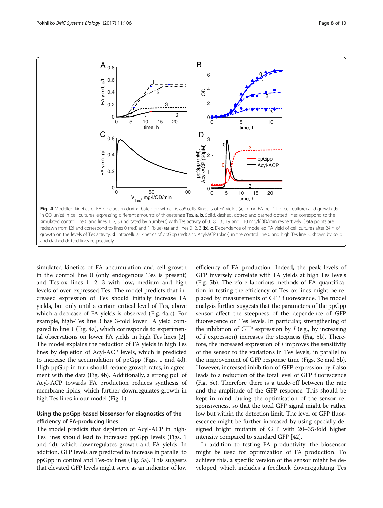<span id="page-7-0"></span>

simulated kinetics of FA accumulation and cell growth in the control line 0 (only endogenous Tes is present) and Tes-ox lines 1, 2, 3 with low, medium and high levels of over-expressed Tes. The model predicts that increased expression of Tes should initially increase FA yields, but only until a certain critical level of Tes, above which a decrease of FA yields is observed (Fig. 4a,c). For example, high-Tes line 3 has 3-fold lower FA yield compared to line 1 (Fig. 4a), which corresponds to experimental observations on lower FA yields in high Tes lines [[2](#page-9-0)]. The model explains the reduction of FA yields in high Tes lines by depletion of Acyl-ACP levels, which is predicted to increase the accumulation of ppGpp (Figs. [1](#page-1-0) and 4d). High ppGpp in turn should reduce growth rates, in agreement with the data (Fig. 4b). Additionally, a strong pull of Acyl-ACP towards FA production reduces synthesis of membrane lipids, which further downregulates growth in high Tes lines in our model (Fig. [1](#page-1-0)).

## Using the ppGpp-based biosensor for diagnostics of the efficiency of FA-producing lines

The model predicts that depletion of Acyl-ACP in high-Tes lines should lead to increased ppGpp levels (Figs. [1](#page-1-0) and 4d), which downregulates growth and FA yields. In addition, GFP levels are predicted to increase in parallel to ppGpp in control and Tes-ox lines (Fig. [5a\)](#page-8-0). This suggests that elevated GFP levels might serve as an indicator of low

efficiency of FA production. Indeed, the peak levels of GFP inversely correlate with FA yields at high Tes levels (Fig. [5b\)](#page-8-0). Therefore laborious methods of FA quantification in testing the efficiency of Tes-ox lines might be replaced by measurements of GFP fluorescence. The model analysis further suggests that the parameters of the ppGpp sensor affect the steepness of the dependence of GFP fluorescence on Tes levels. In particular, strengthening of the inhibition of GFP expression by  $I$  (e.g., by increasing of I expression) increases the steepness (Fig. [5b](#page-8-0)). Therefore, the increased expression of  $I$  improves the sensitivity of the sensor to the variations in Tes levels, in parallel to the improvement of GFP response time (Figs. [3c](#page-6-0) and [5b](#page-8-0)). However, increased inhibition of GFP expression by  $I$  also leads to a reduction of the total level of GFP fluorescence (Fig. [5c](#page-8-0)). Therefore there is a trade-off between the rate and the amplitude of the GFP response. This should be kept in mind during the optimisation of the sensor responsiveness, so that the total GFP signal might be rather low but within the detection limit. The level of GFP fluorescence might be further increased by using specially designed bright mutants of GFP with 20–35-fold higher intensity compared to standard GFP [\[42\]](#page-9-0).

In addition to testing FA productivity, the biosensor might be used for optimization of FA production. To achieve this, a specific version of the sensor might be developed, which includes a feedback downregulating Tes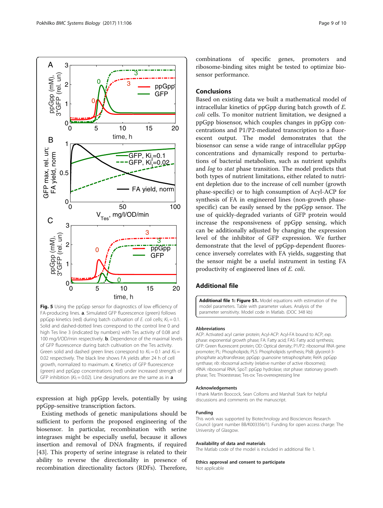0 5 10 15 20  $0_0^5$ 1 time, h  $\Omega$ Fig. 5 Using the ppGpp sensor for diagnostics of low efficiency of FA-producing lines. a. Simulated GFP fluorescence (green) follows ppGpp kinetics (red) during batch cultivation of E. coli cells;  $Ki_l = 0.1$ . Solid and dashed-dotted lines correspond to the control line 0 and high Tes line 3 (indicated by numbers) with Tes activity of 0.08 and 100 mg/l/OD/min respectively. **b**. Dependence of the maximal levels of GFP fluorescence during batch cultivation on the Tes activity. Green solid and dashed green lines correspond to  $Ki_l = 0.1$  and  $Ki_l =$ 0.02 respectively. The black line shows FA yields after 24 h of cell growth, normalized to maximum. c. Kinetics of GFP fluorescence (green) and ppGpp concentrations (red) under increased strength of

expression at high ppGpp levels, potentially by using ppGpp-sensitive transcription factors.

GFP inhibition ( $Ki_l = 0.02$ ). Line designations are the same as in **a** 

Existing methods of genetic manipulations should be sufficient to perform the proposed engineering of the biosensor. In particular, recombination with serine integrases might be especially useful, because it allows insertion and removal of DNA fragments, if required [[43\]](#page-9-0). This property of serine integrase is related to their ability to reverse the directionality in presence of recombination directionality factors (RDFs). Therefore,

combinations of specific genes, promoters and ribosome-binding sites might be tested to optimize biosensor performance.

## Conclusions

Based on existing data we built a mathematical model of intracellular kinetics of ppGpp during batch growth of E. coli cells. To monitor nutrient limitation, we designed a ppGpp biosensor, which couples changes in ppGpp concentrations and P1/P2-mediated transcription to a fluorescent output. The model demonstrates that the biosensor can sense a wide range of intracellular ppGpp concentrations and dynamically respond to perturbations of bacterial metabolism, such as nutrient upshifts and *log* to *stat* phase transition. The model predicts that both types of nutrient limitations, either related to nutrient depletion due to the increase of cell number (growth phase-specific) or to high consumption of Acyl-ACP for synthesis of FA in engineered lines (non-growth phasespecific) can be easily sensed by the ppGpp sensor. The use of quickly-degraded variants of GFP protein would increase the responsiveness of ppGpp sensing, which can be additionally adjusted by changing the expression level of the inhibitor of GFP expression. We further demonstrate that the level of ppGpp-dependent fluorescence inversely correlates with FA yields, suggesting that the sensor might be a useful instrument in testing FA productivity of engineered lines of E. coli.

## Additional file

[Additional file 1: Figure S1.](dx.doi.org/10.1186/s12918-017-0490-5) Model equations with estimation of the model parameters. Table with parameter values. Analysis of the parameter sensitivity. Model code in Matlab. (DOC 348 kb)

#### Abbreviations

ACP: Activated acyl carrier protein; Acyl-ACP: Acyl-FA bound to ACP; exp. phase: exponential growth phase; FA: Fatty acid; FAS: Fatty acid synthesis; GFP: Green fluorescent protein; OD: Optical density; P1/P2: ribosomal RNA gene promoter; PL: Phospholipids; PLS: Phospholipids synthesis; PlsB: glycerol-3 phosphate acyltransferase; ppGpp: guanosine tetraphosphate; RelA: ppGpp synthase; rib: ribosomal activity (relative number of active ribosomes); rRNA: ribosomal RNA; SpoT: ppGpp hydrolase; stat phase: stationary growth phase; Tes: Thioesterase; Tes-ox: Tes-overexpressing line

#### Acknowledgements

I thank Martin Boocock, Sean Colloms and Marshall Stark for helpful discussions and comments on the manuscript.

#### Funding

This work was supported by Biotechnology and Biosciences Research Council (grant number BB/K003356/1). Funding for open access charge: The University of Glasgow.

#### Availability of data and materials

The Matlab code of the model is included in additional file 1.

#### Ethics approval and consent to participate

Not applicable

<span id="page-8-0"></span>